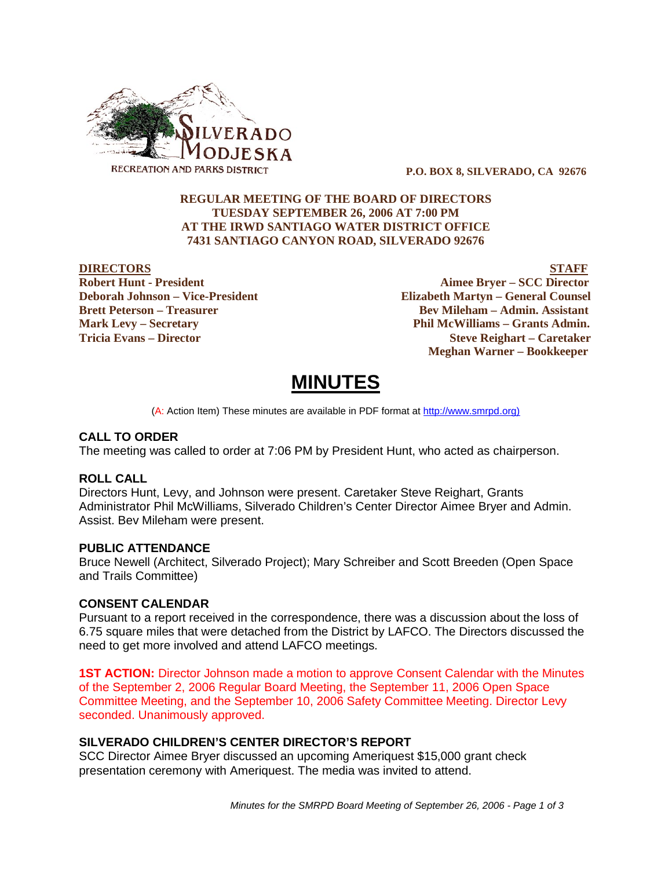

 **P.O. BOX 8, SILVERADO, CA 92676**

# **REGULAR MEETING OF THE BOARD OF DIRECTORS TUESDAY SEPTEMBER 26, 2006 AT 7:00 PM AT THE IRWD SANTIAGO WATER DISTRICT OFFICE 7431 SANTIAGO CANYON ROAD, SILVERADO 92676**

**DIRECTORS STAFF Robert Hunt - President Aimee Bryer – SCC Director Deborah Johnson – Vice-President Elizabeth Martyn – General Counsel Brett Peterson – Treasurer Serverson – Bev Mileham – Admin. Assistant Mark Levy – Secretary Phil McWilliams – Grants Admin. Tricia Evans – Director Steve Reighart – Caretaker Meghan Warner – Bookkeeper**

# **MINUTES**

(A: Action Item) These minutes are available in PDF format at http://www.smrpd.org)

### **CALL TO ORDER**

The meeting was called to order at 7:06 PM by President Hunt, who acted as chairperson.

### **ROLL CALL**

Directors Hunt, Levy, and Johnson were present. Caretaker Steve Reighart, Grants Administrator Phil McWilliams, Silverado Children's Center Director Aimee Bryer and Admin. Assist. Bev Mileham were present.

### **PUBLIC ATTENDANCE**

Bruce Newell (Architect, Silverado Project); Mary Schreiber and Scott Breeden (Open Space and Trails Committee)

# **CONSENT CALENDAR**

Pursuant to a report received in the correspondence, there was a discussion about the loss of 6.75 square miles that were detached from the District by LAFCO. The Directors discussed the need to get more involved and attend LAFCO meetings.

**1ST ACTION:** Director Johnson made a motion to approve Consent Calendar with the Minutes of the September 2, 2006 Regular Board Meeting, the September 11, 2006 Open Space Committee Meeting, and the September 10, 2006 Safety Committee Meeting. Director Levy seconded. Unanimously approved.

### **SILVERADO CHILDREN'S CENTER DIRECTOR'S REPORT**

SCC Director Aimee Bryer discussed an upcoming Ameriquest \$15,000 grant check presentation ceremony with Ameriquest. The media was invited to attend.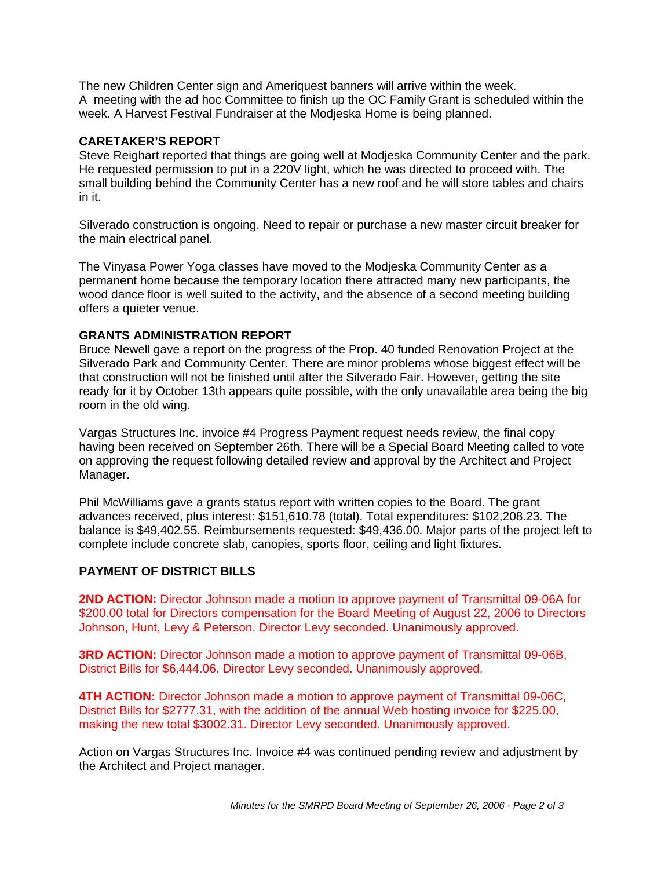The new Children Center sign and Ameriquest banners will arrive within the week. A meeting with the ad hoc Committee to finish up the OC Family Grant is scheduled within the week. A Harvest Festival Fundraiser at the Modjeska Home is being planned.

# **CARETAKER'S REPORT**

Steve Reighart reported that things are going well at Modjeska Community Center and the park. He requested permission to put in a 220V light, which he was directed to proceed with. The small building behind the Community Center has a new roof and he will store tables and chairs in it.

Silverado construction is ongoing. Need to repair or purchase a new master circuit breaker for the main electrical panel.

The Vinyasa Power Yoga classes have moved to the Modjeska Community Center as a permanent home because the temporary location there attracted many new participants, the wood dance floor is well suited to the activity, and the absence of a second meeting building offers a quieter venue.

### **GRANTS ADMINISTRATION REPORT**

Bruce Newell gave a report on the progress of the Prop. 40 funded Renovation Project at the Silverado Park and Community Center. There are minor problems whose biggest effect will be that construction will not be finished until after the Silverado Fair. However, getting the site ready for it by October 13th appears quite possible, with the only unavailable area being the big room in the old wing.

Vargas Structures Inc. invoice #4 Progress Payment request needs review, the final copy having been received on September 26th. There will be a Special Board Meeting called to vote on approving the request following detailed review and approval by the Architect and Project Manager.

Phil McWilliams gave a grants status report with written copies to the Board. The grant advances received, plus interest: \$151,610.78 (total). Total expenditures: \$102,208.23. The balance is \$49,402.55. Reimbursements requested: \$49,436.00. Major parts of the project left to complete include concrete slab, canopies, sports floor, ceiling and light fixtures.

### **PAYMENT OF DISTRICT BILLS**

**2ND ACTION:** Director Johnson made a motion to approve payment of Transmittal 09-06A for \$200.00 total for Directors compensation for the Board Meeting of August 22, 2006 to Directors Johnson, Hunt, Levy & Peterson. Director Levy seconded. Unanimously approved.

**3RD ACTION:** Director Johnson made a motion to approve payment of Transmittal 09-06B, District Bills for \$6,444.06. Director Levy seconded. Unanimously approved.

**4TH ACTION:** Director Johnson made a motion to approve payment of Transmittal 09-06C, District Bills for \$2777.31, with the addition of the annual Web hosting invoice for \$225.00, making the new total \$3002.31. Director Levy seconded. Unanimously approved.

Action on Vargas Structures Inc. Invoice #4 was continued pending review and adjustment by the Architect and Project manager.